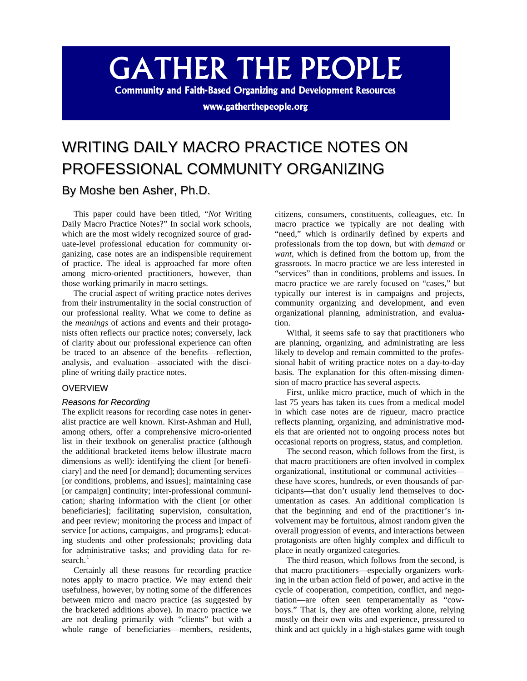# **GATHER THE PEOPLE**

**Community and Faith-Based Organizing and Development Resources** 

www.gatherthepeople.org

## WRITING DAILY MACRO PRACTICE NOTES ON PROFESSIONAL COMMUNITY ORGANIZING

### By Moshe ben Asher, Ph.D.

This paper could have been titled, "*Not* Writing Daily Macro Practice Notes?" In social work schools, which are the most widely recognized source of graduate-level professional education for community organizing, case notes are an indispensible requirement of practice. The ideal is approached far more often among micro-oriented practitioners, however, than those working primarily in macro settings.

The crucial aspect of writing practice notes derives from their instrumentality in the social construction of our professional reality. What we come to define as the *meanings* of actions and events and their protagonists often reflects our practice notes; conversely, lack of clarity about our professional experience can often be traced to an absence of the benefits—reflection, analysis, and evaluation—associated with the discipline of writing daily practice notes.

#### OVERVIEW

#### *Reasons for Recording*

The explicit reasons for recording case notes in generalist practice are well known. Kirst-Ashman and Hull, among others, offer a comprehensive micro-oriented list in their textbook on generalist practice (although the additional bracketed items below illustrate macro dimensions as well): identifying the client [or beneficiary] and the need [or demand]; documenting services [or conditions, problems, and issues]; maintaining case [or campaign] continuity; inter-professional communication; sharing information with the client [or other beneficiaries]; facilitating supervision, consultation, and peer review; monitoring the process and impact of service [or actions, campaigns, and programs]; educating students and other professionals; providing data for administrative tasks; and providing data for research. $<sup>1</sup>$  $<sup>1</sup>$  $<sup>1</sup>$ </sup>

Certainly all these reasons for recording practice notes apply to macro practice. We may extend their usefulness, however, by noting some of the differences between micro and macro practice (as suggested by the bracketed additions above). In macro practice we are not dealing primarily with "clients" but with a whole range of beneficiaries—members, residents, citizens, consumers, constituents, colleagues, etc. In macro practice we typically are not dealing with "need," which is ordinarily defined by experts and professionals from the top down, but with *demand* or *want*, which is defined from the bottom up, from the grassroots. In macro practice we are less interested in "services" than in conditions, problems and issues. In macro practice we are rarely focused on "cases," but typically our interest is in campaigns and projects, community organizing and development, and even organizational planning, administration, and evaluation.

Withal, it seems safe to say that practitioners who are planning, organizing, and administrating are less likely to develop and remain committed to the professional habit of writing practice notes on a day-to-day basis. The explanation for this often-missing dimension of macro practice has several aspects.

First, unlike micro practice, much of which in the last 75 years has taken its cues from a medical model in which case notes are de rigueur, macro practice reflects planning, organizing, and administrative models that are oriented not to ongoing process notes but occasional reports on progress, status, and completion.

The second reason, which follows from the first, is that macro practitioners are often involved in complex organizational, institutional or communal activities these have scores, hundreds, or even thousands of participants—that don't usually lend themselves to documentation as cases. An additional complication is that the beginning and end of the practitioner's involvement may be fortuitous, almost random given the overall progression of events, and interactions between protagonists are often highly complex and difficult to place in neatly organized categories.

The third reason, which follows from the second, is that macro practitioners—especially organizers working in the urban action field of power, and active in the cycle of cooperation, competition, conflict, and negotiation—are often seen temperamentally as "cowboys." That is, they are often working alone, relying mostly on their own wits and experience, pressured to think and act quickly in a high-stakes game with tough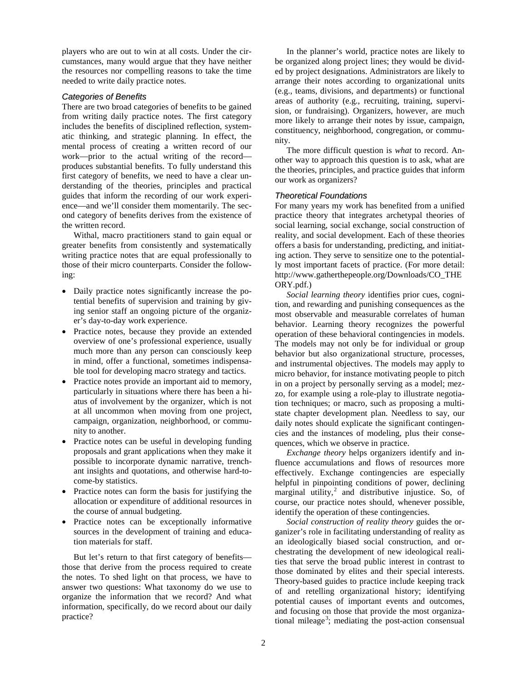players who are out to win at all costs. Under the circumstances, many would argue that they have neither the resources nor compelling reasons to take the time needed to write daily practice notes.

#### *Categories of Benefits*

There are two broad categories of benefits to be gained from writing daily practice notes. The first category includes the benefits of disciplined reflection, systematic thinking, and strategic planning. In effect, the mental process of creating a written record of our work—prior to the actual writing of the record produces substantial benefits. To fully understand this first category of benefits, we need to have a clear understanding of the theories, principles and practical guides that inform the recording of our work experience—and we'll consider them momentarily. The second category of benefits derives from the existence of the written record.

Withal, macro practitioners stand to gain equal or greater benefits from consistently and systematically writing practice notes that are equal professionally to those of their micro counterparts. Consider the following:

- Daily practice notes significantly increase the potential benefits of supervision and training by giving senior staff an ongoing picture of the organizer's day-to-day work experience.
- Practice notes, because they provide an extended overview of one's professional experience, usually much more than any person can consciously keep in mind, offer a functional, sometimes indispensable tool for developing macro strategy and tactics.
- Practice notes provide an important aid to memory, particularly in situations where there has been a hiatus of involvement by the organizer, which is not at all uncommon when moving from one project, campaign, organization, neighborhood, or community to another.
- Practice notes can be useful in developing funding proposals and grant applications when they make it possible to incorporate dynamic narrative, trenchant insights and quotations, and otherwise hard-tocome-by statistics.
- Practice notes can form the basis for justifying the allocation or expenditure of additional resources in the course of annual budgeting.
- Practice notes can be exceptionally informative sources in the development of training and education materials for staff.

But let's return to that first category of benefits those that derive from the process required to create the notes. To shed light on that process, we have to answer two questions: What taxonomy do we use to organize the information that we record? And what information, specifically, do we record about our daily practice?

In the planner's world, practice notes are likely to be organized along project lines; they would be divided by project designations. Administrators are likely to arrange their notes according to organizational units (e.g., teams, divisions, and departments) or functional areas of authority (e.g., recruiting, training, supervision, or fundraising). Organizers, however, are much more likely to arrange their notes by issue, campaign, constituency, neighborhood, congregation, or community.

The more difficult question is *what* to record. Another way to approach this question is to ask, what are the theories, principles, and practice guides that inform our work as organizers?

#### *Theoretical Foundations*

For many years my work has benefited from a unified practice theory that integrates archetypal theories of social learning, social exchange, social construction of reality, and social development. Each of these theories offers a basis for understanding, predicting, and initiating action. They serve to sensitize one to the potentially most important facets of practice. (For more detail: http://www.gatherthepeople.org/Downloads/CO\_THE ORY.pdf.)

*Social learning theory* identifies prior cues, cognition, and rewarding and punishing consequences as the most observable and measurable correlates of human behavior. Learning theory recognizes the powerful operation of these behavioral contingencies in models. The models may not only be for individual or group behavior but also organizational structure, processes, and instrumental objectives. The models may apply to micro behavior, for instance motivating people to pitch in on a project by personally serving as a model; mezzo, for example using a role-play to illustrate negotiation techniques; or macro, such as proposing a multistate chapter development plan. Needless to say, our daily notes should explicate the significant contingencies and the instances of modeling, plus their consequences, which we observe in practice.

*Exchange theory* helps organizers identify and influence accumulations and flows of resources more effectively. Exchange contingencies are especially helpful in pinpointing conditions of power, declining marginal utility, [2](#page-8-1) and distributive injustice. So, of course, our practice notes should, whenever possible, identify the operation of these contingencies.

*Social construction of reality theory* guides the organizer's role in facilitating understanding of reality as an ideologically biased social construction, and orchestrating the development of new ideological realities that serve the broad public interest in contrast to those dominated by elites and their special interests. Theory-based guides to practice include keeping track of and retelling organizational history; identifying potential causes of important events and outcomes, and focusing on those that provide the most organiza-tional mileage<sup>[3](#page-8-2)</sup>; mediating the post-action consensual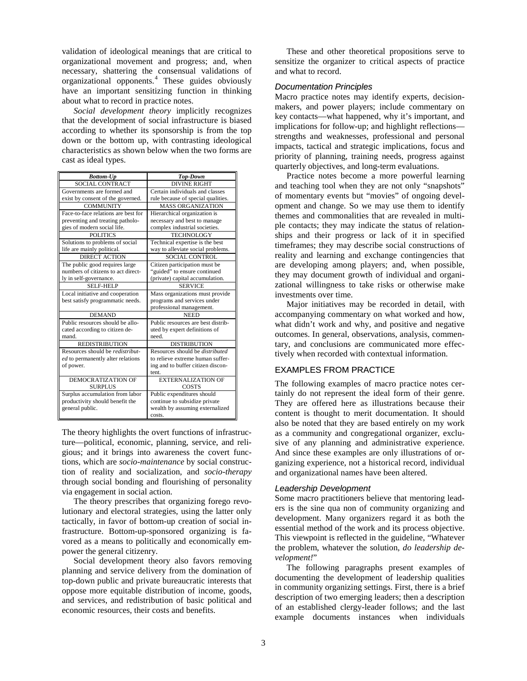validation of ideological meanings that are critical to organizational movement and progress; and, when necessary, shattering the consensual validations of organizational opponents.[4](#page-8-3) These guides obviously have an important sensitizing function in thinking about what to record in practice notes.

*Social development theory* implicitly recognizes that the development of social infrastructure is biased according to whether its sponsorship is from the top down or the bottom up, with contrasting ideological characteristics as shown below when the two forms are cast as ideal types.

| <b>Bottom-Up</b>                         | <b>Top-Down</b>                        |
|------------------------------------------|----------------------------------------|
| <b>SOCIAL CONTRACT</b>                   | <b>DIVINE RIGHT</b>                    |
| Governments are formed and               | Certain individuals and classes        |
| exist by consent of the governed.        | rule because of special qualities.     |
| <b>COMMUNITY</b>                         | <b>MASS ORGANIZATION</b>               |
| Face-to-face relations are best for      | Hierarchical organization is           |
| preventing and treating patholo-         | necessary and best to manage           |
| gies of modern social life.              | complex industrial societies.          |
| <b>POLITICS</b>                          | <b>TECHNOLOGY</b>                      |
| Solutions to problems of social          | Technical expertise is the best        |
| life are mainly political.               | way to alleviate social problems.      |
| <b>DIRECT ACTION</b>                     | <b>SOCIAL CONTROL</b>                  |
| The public good requires large           | Citizen participation must be          |
| numbers of citizens to act direct-       | "guided" to ensure continued           |
| ly in self-governance.                   | (private) capital accumulation.        |
| SELF-HELP                                | <b>SERVICE</b>                         |
| Local initiative and cooperation         | Mass organizations must provide        |
| best satisfy programmatic needs.         | programs and services under            |
|                                          | professional management.               |
| <b>DEMAND</b>                            | <b>NEED</b>                            |
| Public resources should be allo-         | Public resources are best distrib-     |
| cated according to citizen de-           | uted by expert definitions of          |
| mand.                                    | need.                                  |
| <b>REDISTRIBUTION</b>                    | <b>DISTRIBUTION</b>                    |
| Resources should be <i>redistribut</i> - | Resources should be <i>distributed</i> |
| ed to permanently alter relations        | to relieve extreme human suffer-       |
| of power.                                | ing and to buffer citizen discon-      |
|                                          | tent.                                  |
| <b>DEMOCRATIZATION OF</b>                | <b>EXTERNALIZATION OF</b>              |
| <b>SURPLUS</b>                           | <b>COSTS</b>                           |
| Surplus accumulation from labor          | Public expenditures should             |
| productivity should benefit the          | continue to subsidize private          |
| general public.                          | wealth by assuming externalized        |
|                                          | costs.                                 |

The theory highlights the overt functions of infrastructure—political, economic, planning, service, and religious; and it brings into awareness the covert functions, which are *socio-maintenance* by social construction of reality and socialization, and *socio-therapy* through social bonding and flourishing of personality via engagement in social action.

The theory prescribes that organizing forego revolutionary and electoral strategies, using the latter only tactically, in favor of bottom-up creation of social infrastructure. Bottom-up-sponsored organizing is favored as a means to politically and economically empower the general citizenry.

Social development theory also favors removing planning and service delivery from the domination of top-down public and private bureaucratic interests that oppose more equitable distribution of income, goods, and services, and redistribution of basic political and economic resources, their costs and benefits.

These and other theoretical propositions serve to sensitize the organizer to critical aspects of practice and what to record.

#### *Documentation Principles*

Macro practice notes may identify experts, decisionmakers, and power players; include commentary on key contacts—what happened, why it's important, and implications for follow-up; and highlight reflections strengths and weaknesses, professional and personal impacts, tactical and strategic implications, focus and priority of planning, training needs, progress against quarterly objectives, and long-term evaluations.

Practice notes become a more powerful learning and teaching tool when they are not only "snapshots" of momentary events but "movies" of ongoing development and change. So we may use them to identify themes and commonalities that are revealed in multiple contacts; they may indicate the status of relationships and their progress or lack of it in specified timeframes; they may describe social constructions of reality and learning and exchange contingencies that are developing among players; and, when possible, they may document growth of individual and organizational willingness to take risks or otherwise make investments over time.

Major initiatives may be recorded in detail, with accompanying commentary on what worked and how, what didn't work and why, and positive and negative outcomes. In general, observations, analysis, commentary, and conclusions are communicated more effectively when recorded with contextual information.

#### EXAMPLES FROM PRACTICE

The following examples of macro practice notes certainly do not represent the ideal form of their genre. They are offered here as illustrations because their content is thought to merit documentation. It should also be noted that they are based entirely on my work as a community and congregational organizer, exclusive of any planning and administrative experience. And since these examples are only illustrations of organizing experience, not a historical record, individual and organizational names have been altered.

#### *Leadership Development*

Some macro practitioners believe that mentoring leaders is the sine qua non of community organizing and development. Many organizers regard it as both the essential method of the work and its process objective. This viewpoint is reflected in the guideline, "Whatever the problem, whatever the solution, *do leadership development!*"

The following paragraphs present examples of documenting the development of leadership qualities in community organizing settings. First, there is a brief description of two emerging leaders; then a description of an established clergy-leader follows; and the last example documents instances when individuals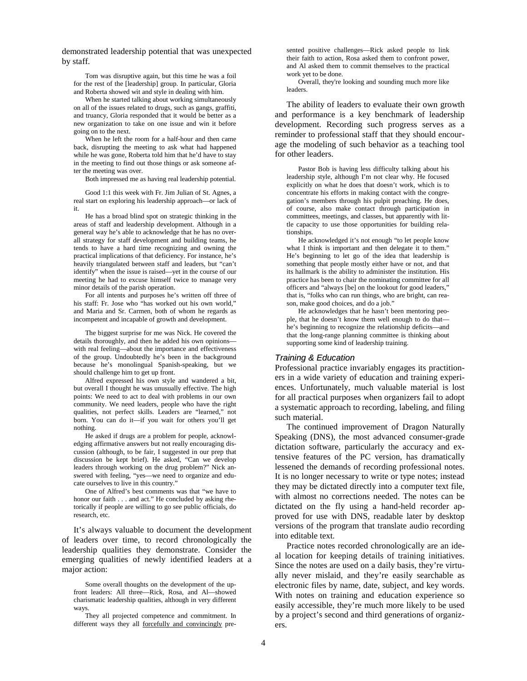demonstrated leadership potential that was unexpected by staff.

Tom was disruptive again, but this time he was a foil for the rest of the [leadership] group. In particular, Gloria and Roberta showed wit and style in dealing with him.

When he started talking about working simultaneously on all of the issues related to drugs, such as gangs, graffiti, and truancy, Gloria responded that it would be better as a new organization to take on one issue and win it before going on to the next.

When he left the room for a half-hour and then came back, disrupting the meeting to ask what had happened while he was gone, Roberta told him that he'd have to stay in the meeting to find out those things or ask someone after the meeting was over.

Both impressed me as having real leadership potential.

Good 1:1 this week with Fr. Jim Julian of St. Agnes, a real start on exploring his leadership approach—or lack of it.

He has a broad blind spot on strategic thinking in the areas of staff and leadership development. Although in a general way he's able to acknowledge that he has no overall strategy for staff development and building teams, he tends to have a hard time recognizing and owning the practical implications of that deficiency. For instance, he's heavily triangulated between staff and leaders, but "can't identify" when the issue is raised—yet in the course of our meeting he had to excuse himself twice to manage very minor details of the parish operation.

For all intents and purposes he's written off three of his staff: Fr. Jose who "has worked out his own world," and Maria and Sr. Carmen, both of whom he regards as incompetent and incapable of growth and development.

The biggest surprise for me was Nick. He covered the details thoroughly, and then he added his own opinions with real feeling—about the importance and effectiveness of the group. Undoubtedly he's been in the background because he's monolingual Spanish-speaking, but we should challenge him to get up front.

Alfred expressed his own style and wandered a bit, but overall I thought he was unusually effective. The high points: We need to act to deal with problems in our own community. We need leaders, people who have the right qualities, not perfect skills. Leaders are "learned," not born. You can do it—if you wait for others you'll get nothing.

He asked if drugs are a problem for people, acknowledging affirmative answers but not really encouraging discussion (although, to be fair, I suggested in our prep that discussion be kept brief). He asked, "Can we develop leaders through working on the drug problem?" Nick answered with feeling, "yes—we need to organize and educate ourselves to live in this country."

One of Alfred's best comments was that "we have to honor our faith . . . and act." He concluded by asking rhetorically if people are willing to go see public officials, do research, etc.

It's always valuable to document the development of leaders over time, to record chronologically the leadership qualities they demonstrate. Consider the emerging qualities of newly identified leaders at a major action:

sented positive challenges—Rick asked people to link their faith to action, Rosa asked them to confront power, and Al asked them to commit themselves to the practical work yet to be done.

Overall, they're looking and sounding much more like leaders.

The ability of leaders to evaluate their own growth and performance is a key benchmark of leadership development. Recording such progress serves as a reminder to professional staff that they should encourage the modeling of such behavior as a teaching tool for other leaders.

Pastor Bob is having less difficulty talking about his leadership style, although I'm not clear why. He focused explicitly on what he does that doesn't work, which is to concentrate his efforts in making contact with the congregation's members through his pulpit preaching. He does, of course, also make contact through participation in committees, meetings, and classes, but apparently with little capacity to use those opportunities for building relationships.

He acknowledged it's not enough "to let people know what I think is important and then delegate it to them." He's beginning to let go of the idea that leadership is something that people mostly either have or not, and that its hallmark is the ability to administer the institution. His practice has been to chair the nominating committee for all officers and "always [be] on the lookout for good leaders," that is, "folks who can run things, who are bright, can reason, make good choices, and do a job."

He acknowledges that he hasn't been mentoring people, that he doesn't know them well enough to do that he's beginning to recognize the relationship deficits—and that the long-range planning committee is thinking about supporting some kind of leadership training.

#### *Training & Education*

Professional practice invariably engages its practitioners in a wide variety of education and training experiences. Unfortunately, much valuable material is lost for all practical purposes when organizers fail to adopt a systematic approach to recording, labeling, and filing such material.

The continued improvement of Dragon Naturally Speaking (DNS), the most advanced consumer-grade dictation software, particularly the accuracy and extensive features of the PC version, has dramatically lessened the demands of recording professional notes. It is no longer necessary to write or type notes; instead they may be dictated directly into a computer text file, with almost no corrections needed. The notes can be dictated on the fly using a hand-held recorder approved for use with DNS, readable later by desktop versions of the program that translate audio recording into editable text.

Practice notes recorded chronologically are an ideal location for keeping details of training initiatives. Since the notes are used on a daily basis, they're virtually never mislaid, and they're easily searchable as electronic files by name, date, subject, and key words. With notes on training and education experience so easily accessible, they're much more likely to be used by a project's second and third generations of organizers.

Some overall thoughts on the development of the upfront leaders: All three—Rick, Rosa, and Al—showed charismatic leadership qualities, although in very different ways.

They all projected competence and commitment. In different ways they all forcefully and convincingly pre-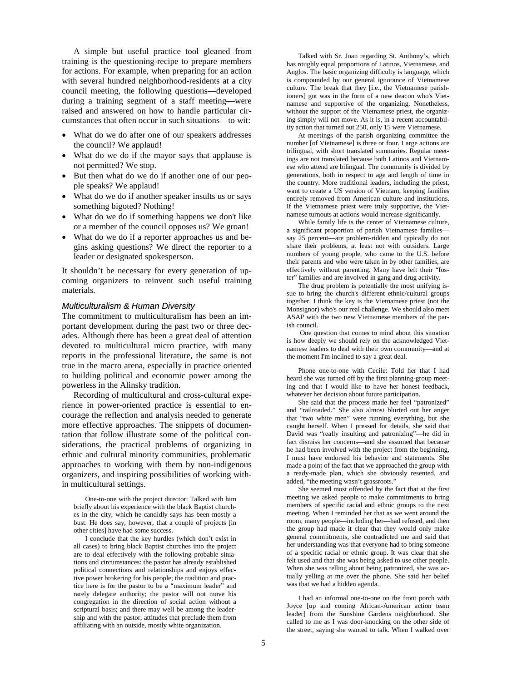A simple but useful practice tool gleaned from training is the questioning-recipe to prepare members for actions. For example, when preparing for an action with several hundred neighborhood-residents at a city council meeting, the following questions—developed during a training segment of a staff meeting—were raised and answered on how to handle particular circumstances that often occur in such situations—to wit:

- What do we do after one of our speakers addresses the council? We applaud!
- What do we do if the mayor says that applause is not permitted? We stop.
- But then what do we do if another one of our people speaks? We applaud!
- What do we do if another speaker insults us or says something bigoted? Nothing!
- What do we do if something happens we don't like or a member of the council opposes us? We groan!
- What do we do if a reporter approaches us and begins asking questions? We direct the reporter to a leader or designated spokesperson.

It shouldn't be necessary for every generation of upcoming organizers to reinvent such useful training materials.

#### *Multiculturalism & Human Diversity*

The commitment to multiculturalism has been an important development during the past two or three decades. Although there has been a great deal of attention devoted to multicultural micro practice, with many reports in the professional literature, the same is not true in the macro arena, especially in practice oriented to building political and economic power among the powerless in the Alinsky tradition.

Recording of multicultural and cross-cultural experience in power-oriented practice is essential to encourage the reflection and analysis needed to generate more effective approaches. The snippets of documentation that follow illustrate some of the political considerations, the practical problems of organizing in ethnic and cultural minority communities, problematic approaches to working with them by non-indigenous organizers, and inspiring possibilities of working within multicultural settings.

One-to-one with the project director: Talked with him briefly about his experience with the black Baptist churches in the city, which he candidly says has been mostly a bust. He does say, however, that a couple of projects [in other cities] have had some success.

I conclude that the key hurdles (which don't exist in all cases) to bring black Baptist churches into the project are to deal effectively with the following probable situations and circumstances: the pastor has already established political connections and relationships and enjoys effective power brokering for his people; the tradition and practice here is for the pastor to be a "maximum leader" and rarely delegate authority; the pastor will not move his congregation in the direction of social action without a scriptural basis; and there may well be among the leadership and with the pastor, attitudes that preclude them from affiliating with an outside, mostly white organization.

Talked with Sr. Joan regarding St. Anthony's, which has roughly equal proportions of Latinos, Vietnamese, and Anglos. The basic organizing difficulty is language, which is compounded by our general ignorance of Vietnamese culture. The break that they [i.e., the Vietnamese parishioners] got was in the form of a new deacon who's Vietnamese and supportive of the organizing. Nonetheless, without the support of the Vietnamese priest, the organizing simply will not move. As it is, in a recent accountability action that turned out 250, only 15 were Vietnamese.

At meetings of the parish organizing committee the number [of Vietnamese] is three or four. Large actions are trilingual, with short translated summaries. Regular meetings are not translated because both Latinos and Vietnamese who attend are bilingual. The community is divided by generations, both in respect to age and length of time in the country. More traditional leaders, including the priest, want to create a US version of Vietnam, keeping families entirely removed from American culture and institutions. If the Vietnamese priest were truly supportive, the Vietnamese turnouts at actions would increase significantly.

While family life is the center of Vietnamese culture, a significant proportion of parish Vietnamese families say 25 percent—are problem-ridden and typically do not share their problems, at least not with outsiders. Large numbers of young people, who came to the U.S. before their parents and who were taken in by other families, are effectively without parenting. Many have left their "foster" families and are involved in gang and drug activity.

The drug problem is potentially the most unifying issue to bring the church's different ethnic/cultural groups together. I think the key is the Vietnamese priest (not the Monsignor) who's our real challenge. We should also meet ASAP with the two new Vietnamese members of the parish council.

One question that comes to mind about this situation is how deeply we should rely on the acknowledged Vietnamese leaders to deal with their own community—and at the moment I'm inclined to say a great deal.

Phone one-to-one with Cecile: Told her that I had heard she was turned off by the first planning-group meeting and that I would like to have her honest feedback, whatever her decision about future participation.

She said that the process made her feel "patronized" and "railroaded." She also almost blurted out her anger that "two white men" were running everything, but she caught herself. When I pressed for details, she said that David was "really insulting and patronizing"—he did in fact dismiss her concerns—and she assumed that because he had been involved with the project from the beginning, I must have endorsed his behavior and statements. She made a point of the fact that we approached the group with a ready-made plan, which she obviously resented, and added, "the meeting wasn't grassroots."

She seemed most offended by the fact that at the first meeting we asked people to make commitments to bring members of specific racial and ethnic groups to the next meeting. When I reminded her that as we went around the room, many people—including her—had refused, and then the group had made it clear that they would only make general commitments, she contradicted me and said that her understanding was that everyone had to bring someone of a specific racial or ethnic group. It was clear that she felt used and that she was being asked to use other people. When she was telling about being patronized, she was actually yelling at me over the phone. She said her belief was that we had a hidden agenda.

I had an informal one-to-one on the front porch with Joyce [up and coming African-American action team leader] from the Sunshine Gardens neighborhood. She called to me as I was door-knocking on the other side of the street, saying she wanted to talk. When I walked over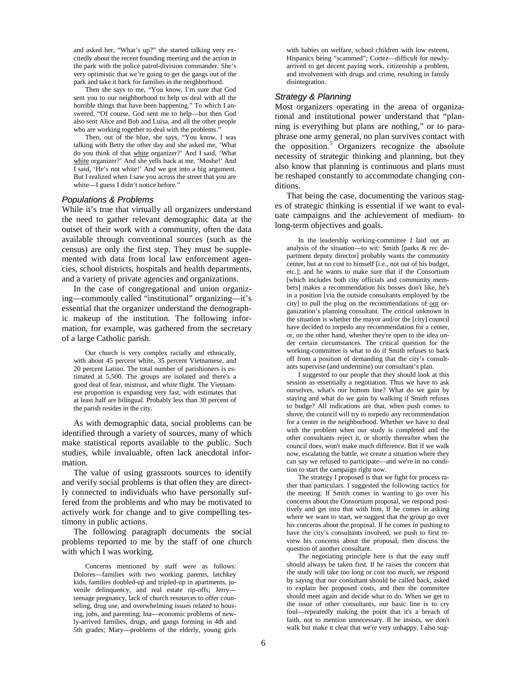and asked her, "What's up?" she started talking very excitedly about the recent founding meeting and the action in the park with the police patrol-division commander. She's very optimistic that we're going to get the gangs out of the park and take it back for families in the neighborhood.

Then she says to me, "You know, I'm sure that God sent you to our neighborhood to help us deal with all the horrible things that have been happening." To which I answered, "Of course, God sent me to help—but then God also sent Alice and Bob and Luisa, and all the other people who are working together to deal with the problems.<sup>"</sup>

Then, out of the blue, she says, "You know, I was talking with Betty the other day and she asked me, 'What do you think of that white organizer?' And I said, 'What white organizer?' And she yells back at me, 'Moshe!' And I said, 'He's not white!' And we got into a big argument. But I realized when I saw you across the street that you are white—I guess I didn't notice before."

#### *Populations & Problems*

While it's true that virtually all organizers understand the need to gather relevant demographic data at the outset of their work with a community, often the data available through conventional sources (such as the census) are only the first step. They must be supplemented with data from local law enforcement agencies, school districts, hospitals and health departments, and a variety of private agencies and organizations.

In the case of congregational and union organizing—commonly called "institutional" organizing—it's essential that the organizer understand the demographic makeup of the institution. The following information, for example, was gathered from the secretary of a large Catholic parish.

Our church is very complex racially and ethnically, with about 45 percent white, 35 percent Vietnamese, and 20 percent Latino. The total number of parishioners is estimated at 5,500. The groups are isolated and there's a good deal of fear, mistrust, and white flight. The Vietnamese proportion is expanding very fast, with estimates that at least half are bilingual. Probably less than 30 percent of the parish resides in the city.

As with demographic data, social problems can be identified through a variety of sources, many of which make statistical reports available to the public. Such studies, while invaluable, often lack anecdotal information.

The value of using grassroots sources to identify and verify social problems is that often they are directly connected to individuals who have personally suffered from the problems and who may be motivated to actively work for change and to give compelling testimony in public actions.

The following paragraph documents the social problems reported to me by the staff of one church with which I was working.

Concerns mentioned by staff were as follows: Dolores—families with two working parents, latchkey kids, families doubled-up and tripled-up in apartments, juvenile delinquency, and real estate rip-offs; Jerry teenage pregnancy, lack of church resources to offer counseling, drug use, and overwhelming issues related to housing, jobs, and parenting; Ina—economic problems of newly-arrived families, drugs, and gangs forming in 4th and 5th grades; Mary—problems of the elderly, young girls

with babies on welfare, school children with low esteem, Hispanics being "scammed"; Cortez—difficult for newlyarrived to get decent paying work, citizenship a problem, and involvement with drugs and crime, resulting in family disintegration.

#### *Strategy & Planning*

Most organizers operating in the arena of organizational and institutional power understand that "planning is everything but plans are nothing," or to paraphrase one army general, no plan survives contact with the opposition.<sup>[5](#page-8-4)</sup> Organizers recognize the absolute necessity of strategic thinking and planning, but they also know that planning is continuous and plans must be reshaped constantly to accommodate changing conditions.

That being the case, documenting the various stages of strategic thinking is essential if we want to evaluate campaigns and the achievement of medium- to long-term objectives and goals.

In the leadership working-committee I laid out an analysis of the situation—to wit: Smith [parks & rec department deputy director] probably wants the community center, but at no cost to himself [i.e., not out of his budget, etc.]; and he wants to make sure that if the Consortium [which includes both city officials and community members] makes a recommendation his bosses don't like, he's in a position [via the outside consultants employed by the city] to pull the plug on the recommendations of our organization's planning consultant. The critical unknown in the situation is whether the mayor and/or the [city] council have decided to torpedo any recommendation for a center, or, on the other hand, whether they're open to the idea under certain circumstances. The critical question for the working-committee is what to do if Smith refuses to back off from a position of demanding that the city's consultants supervise (and undermine) our consultant's plan.

I suggested to our people that they should look at this session as essentially a negotiation. Thus we have to ask ourselves, what's our bottom line? What do we gain by staying and what do we gain by walking if Smith refuses to budge? All indications are that, when push comes to shove, the council will try to torpedo any recommendation for a center in the neighborhood. Whether we have to deal with the problem when our study is completed and the other consultants reject it, or shortly thereafter when the council does, won't make much difference. But if we walk now, escalating the battle, we create a situation where they can say we refused to participate—and we're in no condition to start the campaign right now.

The strategy I proposed is that we fight for process rather than particulars. I suggested the following tactics for the meeting: If Smith comes in wanting to go over his concerns about the Consortium proposal, we respond positively and get into that with him. If he comes in asking where we want to start, we suggest that the group go over his concerns about the proposal. If he comes in pushing to have the city's consultants involved, we push to first review his concerns about the proposal, then discuss the question of another consultant.

The negotiating principle here is that the easy stuff should always be taken first. If he raises the concern that the study will take too long or cost too much, we respond by saying that our consultant should be called back, asked to explain her proposed costs, and then the committee should meet again and decide what to do. When we get to the issue of other consultants, our basic line is to cry foul—repeatedly making the point that it's a breach of faith, not to mention unnecessary. If he insists, we don't walk but make it clear that we're very unhappy. I also sug-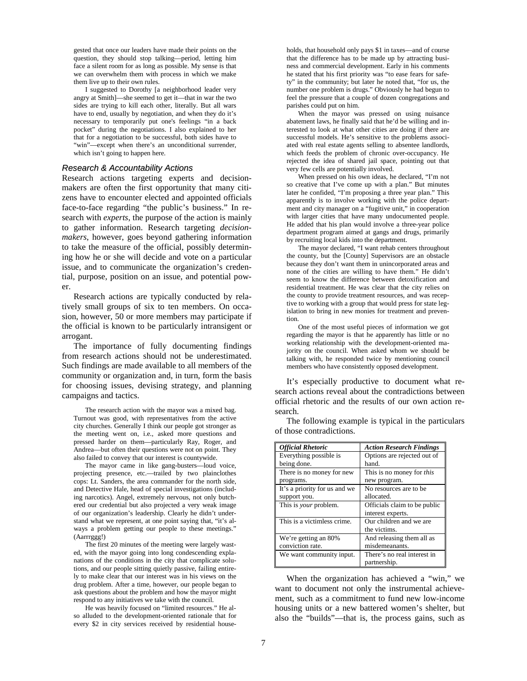gested that once our leaders have made their points on the question, they should stop talking—period, letting him face a silent room for as long as possible. My sense is that we can overwhelm them with process in which we make them live up to their own rules.

I suggested to Dorothy [a neighborhood leader very angry at Smith]—she seemed to get it—that in war the two sides are trying to kill each other, literally. But all wars have to end, usually by negotiation, and when they do it's necessary to temporarily put one's feelings "in a back pocket" during the negotiations. I also explained to her that for a negotiation to be successful, both sides have to "win"—except when there's an unconditional surrender, which isn't going to happen here.

#### *Research & Accountability Actions*

Research actions targeting experts and decisionmakers are often the first opportunity that many citizens have to encounter elected and appointed officials face-to-face regarding "the public's business." In research with *experts*, the purpose of the action is mainly to gather information. Research targeting *decisionmakers*, however, goes beyond gathering information to take the measure of the official, possibly determining how he or she will decide and vote on a particular issue, and to communicate the organization's credential, purpose, position on an issue, and potential power.

Research actions are typically conducted by relatively small groups of six to ten members. On occasion, however, 50 or more members may participate if the official is known to be particularly intransigent or arrogant.

The importance of fully documenting findings from research actions should not be underestimated. Such findings are made available to all members of the community or organization and, in turn, form the basis for choosing issues, devising strategy, and planning campaigns and tactics.

The research action with the mayor was a mixed bag. Turnout was good, with representatives from the active city churches. Generally I think our people got stronger as the meeting went on, i.e., asked more questions and pressed harder on them—particularly Ray, Roger, and Andrea—but often their questions were not on point. They also failed to convey that our interest is countywide.

The mayor came in like gang-busters—loud voice, projecting presence, etc.—trailed by two plainclothes cops: Lt. Sanders, the area commander for the north side, and Detective Hale, head of special investigations (including narcotics). Angel, extremely nervous, not only butchered our credential but also projected a very weak image of our organization's leadership. Clearly he didn't understand what we represent, at one point saying that, "it's always a problem getting our people to these meetings." (Aarrrggg!)

The first 20 minutes of the meeting were largely wasted, with the mayor going into long condescending explanations of the conditions in the city that complicate solutions, and our people sitting quietly passive, failing entirely to make clear that our interest was in his views on the drug problem. After a time, however, our people began to ask questions about the problem and how the mayor might respond to any initiatives we take with the council.

He was heavily focused on "limited resources." He also alluded to the development-oriented rationale that for every \$2 in city services received by residential households, that household only pays \$1 in taxes—and of course that the difference has to be made up by attracting business and commercial development. Early in his comments he stated that his first priority was "to ease fears for safety" in the community; but later he noted that, "for us, the number one problem is drugs." Obviously he had begun to feel the pressure that a couple of dozen congregations and parishes could put on him.

When the mayor was pressed on using nuisance abatement laws, he finally said that he'd be willing and interested to look at what other cities are doing if there are successful models. He's sensitive to the problems associated with real estate agents selling to absentee landlords, which feeds the problem of chronic over-occupancy. He rejected the idea of shared jail space, pointing out that very few cells are potentially involved.

When pressed on his own ideas, he declared, "I'm not so creative that I've come up with a plan." But minutes later he confided, "I'm proposing a three year plan." This apparently is to involve working with the police department and city manager on a "fugitive unit," in cooperation with larger cities that have many undocumented people. He added that his plan would involve a three-year police department program aimed at gangs and drugs, primarily by recruiting local kids into the department.

The mayor declared, "I want rehab centers throughout the county, but the [County] Supervisors are an obstacle because they don't want them in unincorporated areas and none of the cities are willing to have them." He didn't seem to know the difference between detoxification and residential treatment. He was clear that the city relies on the county to provide treatment resources, and was receptive to working with a group that would press for state legislation to bring in new monies for treatment and prevention.

One of the most useful pieces of information we got regarding the mayor is that he apparently has little or no working relationship with the development-oriented majority on the council. When asked whom we should be talking with, he responded twice by mentioning council members who have consistently opposed development.

It's especially productive to document what research actions reveal about the contradictions between official rhetoric and the results of our own action research.

| <b>Official Rhetoric</b>      | <b>Action Research Findings</b>  |
|-------------------------------|----------------------------------|
| Everything possible is        | Options are rejected out of      |
| being done.                   | hand.                            |
| There is no money for new     | This is no money for <i>this</i> |
| programs.                     | new program.                     |
| It's a priority for us and we | No resources are to be.          |
| support you.                  | allocated.                       |
| This is <i>your</i> problem.  | Officials claim to be public     |
|                               | interest experts.                |
| This is a victimless crime.   | Our children and we are          |
|                               | the victims.                     |
| We're getting an 80%          | And releasing them all as        |
| conviction rate.              | misdemeanants.                   |
| We want community input.      | There's no real interest in      |
|                               | partnership.                     |

The following example is typical in the particulars of those contradictions.

When the organization has achieved a "win," we want to document not only the instrumental achievement, such as a commitment to fund new low-income housing units or a new battered women's shelter, but also the "builds"—that is, the process gains, such as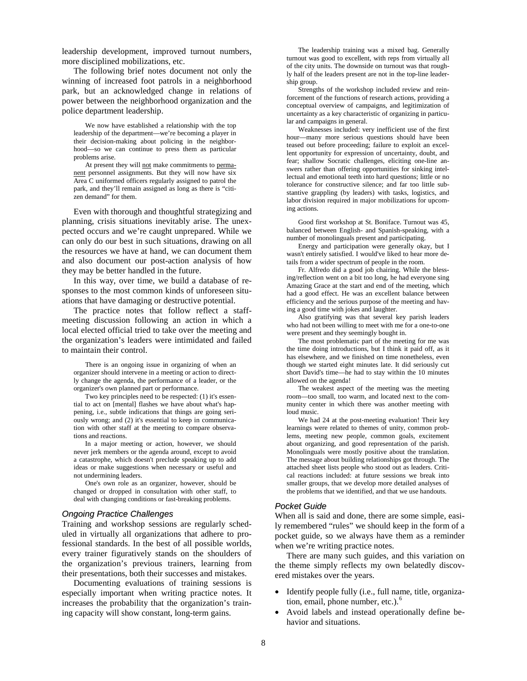leadership development, improved turnout numbers, more disciplined mobilizations, etc.

The following brief notes document not only the winning of increased foot patrols in a neighborhood park, but an acknowledged change in relations of power between the neighborhood organization and the police department leadership.

We now have established a relationship with the top leadership of the department—we're becoming a player in their decision-making about policing in the neighborhood—so we can continue to press them as particular problems arise.

At present they will not make commitments to permanent personnel assignments. But they will now have six Area C uniformed officers regularly assigned to patrol the park, and they'll remain assigned as long as there is "citizen demand" for them.

Even with thorough and thoughtful strategizing and planning, crisis situations inevitably arise. The unexpected occurs and we're caught unprepared. While we can only do our best in such situations, drawing on all the resources we have at hand, we can document them and also document our post-action analysis of how they may be better handled in the future.

In this way, over time, we build a database of responses to the most common kinds of unforeseen situations that have damaging or destructive potential.

The practice notes that follow reflect a staffmeeting discussion following an action in which a local elected official tried to take over the meeting and the organization's leaders were intimidated and failed to maintain their control.

There is an ongoing issue in organizing of when an organizer should intervene in a meeting or action to directly change the agenda, the performance of a leader, or the organizer's own planned part or performance.

Two key principles need to be respected: (1) it's essential to act on [mental] flashes we have about what's happening, i.e., subtle indications that things are going seriously wrong; and (2) it's essential to keep in communication with other staff at the meeting to compare observations and reactions.

In a major meeting or action, however, we should never jerk members or the agenda around, except to avoid a catastrophe, which doesn't preclude speaking up to add ideas or make suggestions when necessary or useful and not undermining leaders.

One's own role as an organizer, however, should be changed or dropped in consultation with other staff, to deal with changing conditions or fast-breaking problems.

#### *Ongoing Practice Challenges*

Training and workshop sessions are regularly scheduled in virtually all organizations that adhere to professional standards. In the best of all possible worlds, every trainer figuratively stands on the shoulders of the organization's previous trainers, learning from their presentations, both their successes and mistakes.

Documenting evaluations of training sessions is especially important when writing practice notes. It increases the probability that the organization's training capacity will show constant, long-term gains.

The leadership training was a mixed bag. Generally turnout was good to excellent, with reps from virtually all of the city units. The downside on turnout was that roughly half of the leaders present are not in the top-line leadership group.

Strengths of the workshop included review and reinforcement of the functions of research actions, providing a conceptual overview of campaigns, and legitimization of uncertainty as a key characteristic of organizing in particular and campaigns in general.

Weaknesses included: very inefficient use of the first hour—many more serious questions should have been teased out before proceeding; failure to exploit an excellent opportunity for expression of uncertainty, doubt, and fear; shallow Socratic challenges, eliciting one-line answers rather than offering opportunities for sinking intellectual and emotional teeth into hard questions; little or no tolerance for constructive silence; and far too little substantive grappling (by leaders) with tasks, logistics, and labor division required in major mobilizations for upcoming actions.

Good first workshop at St. Boniface. Turnout was 45, balanced between English- and Spanish-speaking, with a number of monolinguals present and participating.

Energy and participation were generally okay, but I wasn't entirely satisfied. I would've liked to hear more details from a wider spectrum of people in the room.

Fr. Alfredo did a good job chairing. While the blessing/reflection went on a bit too long, he had everyone sing Amazing Grace at the start and end of the meeting, which had a good effect. He was an excellent balance between efficiency and the serious purpose of the meeting and having a good time with jokes and laughter.

Also gratifying was that several key parish leaders who had not been willing to meet with me for a one-to-one were present and they seemingly bought in.

The most problematic part of the meeting for me was the time doing introductions, but I think it paid off, as it has elsewhere, and we finished on time nonetheless, even though we started eight minutes late. It did seriously cut short David's time—he had to stay within the 10 minutes allowed on the agenda!

The weakest aspect of the meeting was the meeting room—too small, too warm, and located next to the community center in which there was another meeting with loud music.

We had 24 at the post-meeting evaluation! Their key learnings were related to themes of unity, common problems, meeting new people, common goals, excitement about organizing, and good representation of the parish. Monolinguals were mostly positive about the translation. The message about building relationships got through. The attached sheet lists people who stood out as leaders. Critical reactions included: at future sessions we break into smaller groups, that we develop more detailed analyses of the problems that we identified, and that we use handouts.

#### *Pocket Guide*

When all is said and done, there are some simple, easily remembered "rules" we should keep in the form of a pocket guide, so we always have them as a reminder when we're writing practice notes.

There are many such guides, and this variation on the theme simply reflects my own belatedly discovered mistakes over the years.

- Identify people fully (i.e., full name, title, organization, email, phone number, etc.). $<sup>6</sup>$  $<sup>6</sup>$  $<sup>6</sup>$ </sup>
- Avoid labels and instead operationally define behavior and situations.